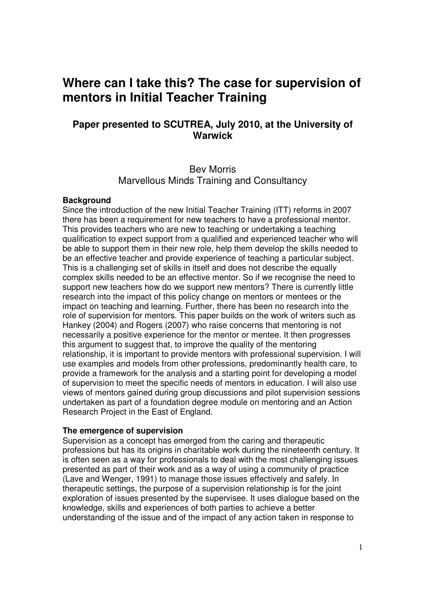# **Where can I take this? The case for supervision of mentors in Initial Teacher Training**

# **Paper presented to SCUTREA, July 2010, at the University of Warwick**

# Bev Morris Marvellous Minds Training and Consultancy

#### **Background**

Since the introduction of the new Initial Teacher Training (ITT) reforms in 2007 there has been a requirement for new teachers to have a professional mentor. This provides teachers who are new to teaching or undertaking a teaching qualification to expect support from a qualified and experienced teacher who will be able to support them in their new role, help them develop the skills needed to be an effective teacher and provide experience of teaching a particular subject. This is a challenging set of skills in itself and does not describe the equally complex skills needed to be an effective mentor. So if we recognise the need to support new teachers how do we support new mentors? There is currently little research into the impact of this policy change on mentors or mentees or the impact on teaching and learning. Further, there has been no research into the role of supervision for mentors. This paper builds on the work of writers such as Hankey (2004) and Rogers (2007) who raise concerns that mentoring is not necessarily a positive experience for the mentor or mentee. It then progresses this argument to suggest that, to improve the quality of the mentoring relationship, it is important to provide mentors with professional supervision. I will use examples and models from other professions, predominantly health care, to provide a framework for the analysis and a starting point for developing a model of supervision to meet the specific needs of mentors in education. I will also use views of mentors gained during group discussions and pilot supervision sessions undertaken as part of a foundation degree module on mentoring and an Action Research Project in the East of England.

#### **The emergence of supervision**

Supervision as a concept has emerged from the caring and therapeutic professions but has its origins in charitable work during the nineteenth century. It is often seen as a way for professionals to deal with the most challenging issues presented as part of their work and as a way of using a community of practice (Lave and Wenger, 1991) to manage those issues effectively and safely. In therapeutic settings, the purpose of a supervision relationship is for the joint exploration of issues presented by the supervisee. It uses dialogue based on the knowledge, skills and experiences of both parties to achieve a better understanding of the issue and of the impact of any action taken in response to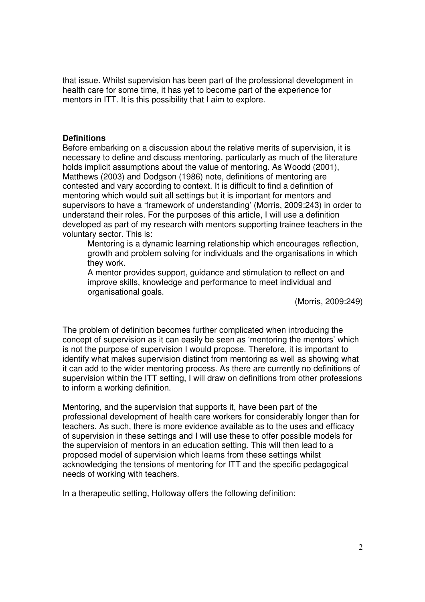that issue. Whilst supervision has been part of the professional development in health care for some time, it has yet to become part of the experience for mentors in ITT. It is this possibility that I aim to explore.

### **Definitions**

Before embarking on a discussion about the relative merits of supervision, it is necessary to define and discuss mentoring, particularly as much of the literature holds implicit assumptions about the value of mentoring. As Woodd (2001), Matthews (2003) and Dodgson (1986) note, definitions of mentoring are contested and vary according to context. It is difficult to find a definition of mentoring which would suit all settings but it is important for mentors and supervisors to have a 'framework of understanding' (Morris, 2009:243) in order to understand their roles. For the purposes of this article, I will use a definition developed as part of my research with mentors supporting trainee teachers in the voluntary sector. This is:

Mentoring is a dynamic learning relationship which encourages reflection, growth and problem solving for individuals and the organisations in which they work.

A mentor provides support, guidance and stimulation to reflect on and improve skills, knowledge and performance to meet individual and organisational goals.

(Morris, 2009:249)

The problem of definition becomes further complicated when introducing the concept of supervision as it can easily be seen as 'mentoring the mentors' which is not the purpose of supervision I would propose. Therefore, it is important to identify what makes supervision distinct from mentoring as well as showing what it can add to the wider mentoring process. As there are currently no definitions of supervision within the ITT setting, I will draw on definitions from other professions to inform a working definition.

Mentoring, and the supervision that supports it, have been part of the professional development of health care workers for considerably longer than for teachers. As such, there is more evidence available as to the uses and efficacy of supervision in these settings and I will use these to offer possible models for the supervision of mentors in an education setting. This will then lead to a proposed model of supervision which learns from these settings whilst acknowledging the tensions of mentoring for ITT and the specific pedagogical needs of working with teachers.

In a therapeutic setting, Holloway offers the following definition: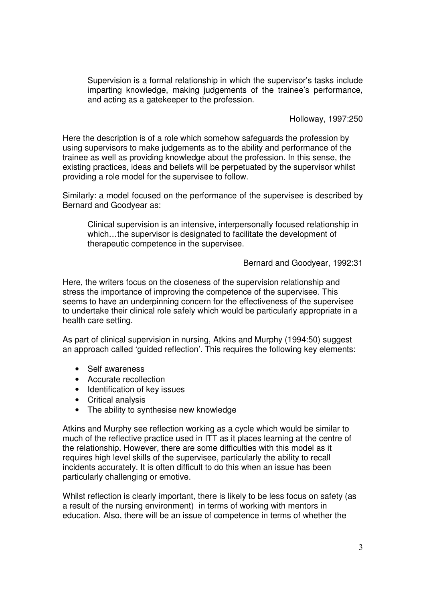Supervision is a formal relationship in which the supervisor's tasks include imparting knowledge, making judgements of the trainee's performance, and acting as a gatekeeper to the profession.

Holloway, 1997:250

Here the description is of a role which somehow safeguards the profession by using supervisors to make judgements as to the ability and performance of the trainee as well as providing knowledge about the profession. In this sense, the existing practices, ideas and beliefs will be perpetuated by the supervisor whilst providing a role model for the supervisee to follow.

Similarly: a model focused on the performance of the supervisee is described by Bernard and Goodyear as:

Clinical supervision is an intensive, interpersonally focused relationship in which...the supervisor is designated to facilitate the development of therapeutic competence in the supervisee.

#### Bernard and Goodyear, 1992:31

Here, the writers focus on the closeness of the supervision relationship and stress the importance of improving the competence of the supervisee. This seems to have an underpinning concern for the effectiveness of the supervisee to undertake their clinical role safely which would be particularly appropriate in a health care setting.

As part of clinical supervision in nursing, Atkins and Murphy (1994:50) suggest an approach called 'guided reflection'. This requires the following key elements:

- Self awareness
- Accurate recollection
- Identification of key issues
- Critical analysis
- The ability to synthesise new knowledge

Atkins and Murphy see reflection working as a cycle which would be similar to much of the reflective practice used in ITT as it places learning at the centre of the relationship. However, there are some difficulties with this model as it requires high level skills of the supervisee, particularly the ability to recall incidents accurately. It is often difficult to do this when an issue has been particularly challenging or emotive.

Whilst reflection is clearly important, there is likely to be less focus on safety (as a result of the nursing environment) in terms of working with mentors in education. Also, there will be an issue of competence in terms of whether the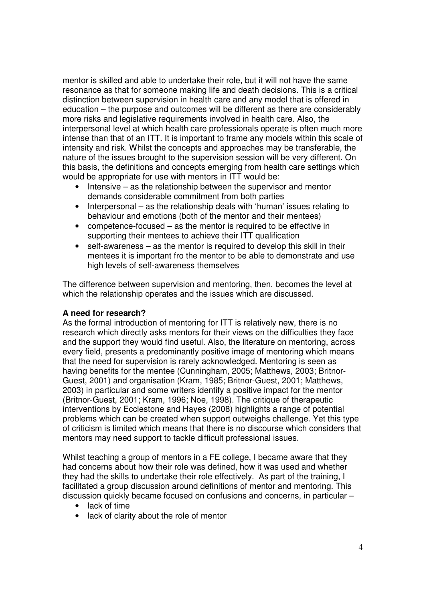mentor is skilled and able to undertake their role, but it will not have the same resonance as that for someone making life and death decisions. This is a critical distinction between supervision in health care and any model that is offered in education – the purpose and outcomes will be different as there are considerably more risks and legislative requirements involved in health care. Also, the interpersonal level at which health care professionals operate is often much more intense than that of an ITT. It is important to frame any models within this scale of intensity and risk. Whilst the concepts and approaches may be transferable, the nature of the issues brought to the supervision session will be very different. On this basis, the definitions and concepts emerging from health care settings which would be appropriate for use with mentors in ITT would be:

- Intensive as the relationship between the supervisor and mentor demands considerable commitment from both parties
- Interpersonal as the relationship deals with 'human' issues relating to behaviour and emotions (both of the mentor and their mentees)
- competence-focused as the mentor is required to be effective in supporting their mentees to achieve their ITT qualification
- self-awareness as the mentor is required to develop this skill in their mentees it is important fro the mentor to be able to demonstrate and use high levels of self-awareness themselves

The difference between supervision and mentoring, then, becomes the level at which the relationship operates and the issues which are discussed.

## **A need for research?**

As the formal introduction of mentoring for ITT is relatively new, there is no research which directly asks mentors for their views on the difficulties they face and the support they would find useful. Also, the literature on mentoring, across every field, presents a predominantly positive image of mentoring which means that the need for supervision is rarely acknowledged. Mentoring is seen as having benefits for the mentee (Cunningham, 2005; Matthews, 2003; Britnor-Guest, 2001) and organisation (Kram, 1985; Britnor-Guest, 2001; Matthews, 2003) in particular and some writers identify a positive impact for the mentor (Britnor-Guest, 2001; Kram, 1996; Noe, 1998). The critique of therapeutic interventions by Ecclestone and Hayes (2008) highlights a range of potential problems which can be created when support outweighs challenge. Yet this type of criticism is limited which means that there is no discourse which considers that mentors may need support to tackle difficult professional issues.

Whilst teaching a group of mentors in a FE college, I became aware that they had concerns about how their role was defined, how it was used and whether they had the skills to undertake their role effectively. As part of the training, I facilitated a group discussion around definitions of mentor and mentoring. This discussion quickly became focused on confusions and concerns, in particular –

- lack of time
- lack of clarity about the role of mentor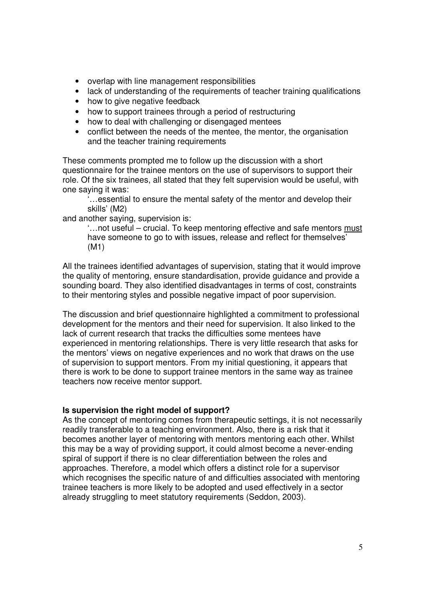- overlap with line management responsibilities
- lack of understanding of the requirements of teacher training qualifications
- how to give negative feedback
- how to support trainees through a period of restructuring
- how to deal with challenging or disengaged mentees
- conflict between the needs of the mentee, the mentor, the organisation and the teacher training requirements

These comments prompted me to follow up the discussion with a short questionnaire for the trainee mentors on the use of supervisors to support their role. Of the six trainees, all stated that they felt supervision would be useful, with one saying it was:

'…essential to ensure the mental safety of the mentor and develop their skills' (M2)

and another saying, supervision is:

'…not useful – crucial. To keep mentoring effective and safe mentors must have someone to go to with issues, release and reflect for themselves' (M1)

All the trainees identified advantages of supervision, stating that it would improve the quality of mentoring, ensure standardisation, provide guidance and provide a sounding board. They also identified disadvantages in terms of cost, constraints to their mentoring styles and possible negative impact of poor supervision.

The discussion and brief questionnaire highlighted a commitment to professional development for the mentors and their need for supervision. It also linked to the lack of current research that tracks the difficulties some mentees have experienced in mentoring relationships. There is very little research that asks for the mentors' views on negative experiences and no work that draws on the use of supervision to support mentors. From my initial questioning, it appears that there is work to be done to support trainee mentors in the same way as trainee teachers now receive mentor support.

## **Is supervision the right model of support?**

As the concept of mentoring comes from therapeutic settings, it is not necessarily readily transferable to a teaching environment. Also, there is a risk that it becomes another layer of mentoring with mentors mentoring each other. Whilst this may be a way of providing support, it could almost become a never-ending spiral of support if there is no clear differentiation between the roles and approaches. Therefore, a model which offers a distinct role for a supervisor which recognises the specific nature of and difficulties associated with mentoring trainee teachers is more likely to be adopted and used effectively in a sector already struggling to meet statutory requirements (Seddon, 2003).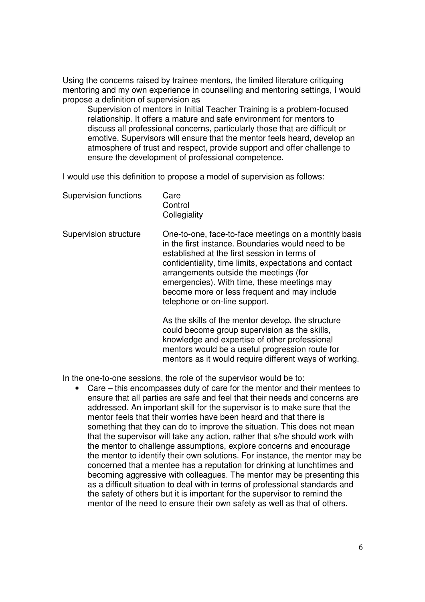Using the concerns raised by trainee mentors, the limited literature critiquing mentoring and my own experience in counselling and mentoring settings, I would propose a definition of supervision as

Supervision of mentors in Initial Teacher Training is a problem-focused relationship. It offers a mature and safe environment for mentors to discuss all professional concerns, particularly those that are difficult or emotive. Supervisors will ensure that the mentor feels heard, develop an atmosphere of trust and respect, provide support and offer challenge to ensure the development of professional competence.

I would use this definition to propose a model of supervision as follows:

| <b>Supervision functions</b> | Care         |
|------------------------------|--------------|
|                              | Control      |
|                              | Collegiality |

Supervision structure One-to-one, face-to-face meetings on a monthly basis in the first instance. Boundaries would need to be established at the first session in terms of confidentiality, time limits, expectations and contact arrangements outside the meetings (for emergencies). With time, these meetings may become more or less frequent and may include telephone or on-line support.

> As the skills of the mentor develop, the structure could become group supervision as the skills, knowledge and expertise of other professional mentors would be a useful progression route for mentors as it would require different ways of working.

In the one-to-one sessions, the role of the supervisor would be to:

• Care – this encompasses duty of care for the mentor and their mentees to ensure that all parties are safe and feel that their needs and concerns are addressed. An important skill for the supervisor is to make sure that the mentor feels that their worries have been heard and that there is something that they can do to improve the situation. This does not mean that the supervisor will take any action, rather that s/he should work with the mentor to challenge assumptions, explore concerns and encourage the mentor to identify their own solutions. For instance, the mentor may be concerned that a mentee has a reputation for drinking at lunchtimes and becoming aggressive with colleagues. The mentor may be presenting this as a difficult situation to deal with in terms of professional standards and the safety of others but it is important for the supervisor to remind the mentor of the need to ensure their own safety as well as that of others.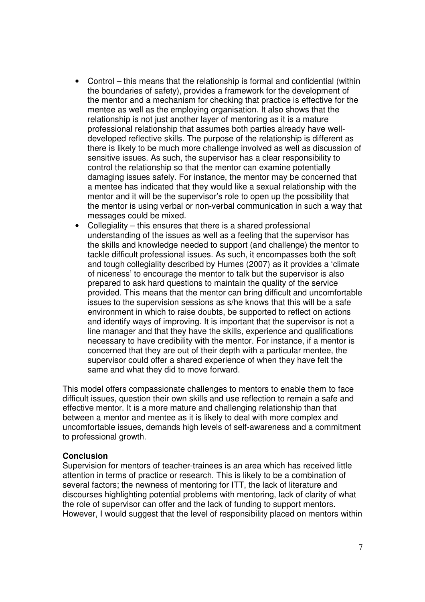- Control this means that the relationship is formal and confidential (within the boundaries of safety), provides a framework for the development of the mentor and a mechanism for checking that practice is effective for the mentee as well as the employing organisation. It also shows that the relationship is not just another layer of mentoring as it is a mature professional relationship that assumes both parties already have welldeveloped reflective skills. The purpose of the relationship is different as there is likely to be much more challenge involved as well as discussion of sensitive issues. As such, the supervisor has a clear responsibility to control the relationship so that the mentor can examine potentially damaging issues safely. For instance, the mentor may be concerned that a mentee has indicated that they would like a sexual relationship with the mentor and it will be the supervisor's role to open up the possibility that the mentor is using verbal or non-verbal communication in such a way that messages could be mixed.
- Collegiality this ensures that there is a shared professional understanding of the issues as well as a feeling that the supervisor has the skills and knowledge needed to support (and challenge) the mentor to tackle difficult professional issues. As such, it encompasses both the soft and tough collegiality described by Humes (2007) as it provides a 'climate of niceness' to encourage the mentor to talk but the supervisor is also prepared to ask hard questions to maintain the quality of the service provided. This means that the mentor can bring difficult and uncomfortable issues to the supervision sessions as s/he knows that this will be a safe environment in which to raise doubts, be supported to reflect on actions and identify ways of improving. It is important that the supervisor is not a line manager and that they have the skills, experience and qualifications necessary to have credibility with the mentor. For instance, if a mentor is concerned that they are out of their depth with a particular mentee, the supervisor could offer a shared experience of when they have felt the same and what they did to move forward.

This model offers compassionate challenges to mentors to enable them to face difficult issues, question their own skills and use reflection to remain a safe and effective mentor. It is a more mature and challenging relationship than that between a mentor and mentee as it is likely to deal with more complex and uncomfortable issues, demands high levels of self-awareness and a commitment to professional growth.

#### **Conclusion**

Supervision for mentors of teacher-trainees is an area which has received little attention in terms of practice or research. This is likely to be a combination of several factors; the newness of mentoring for ITT, the lack of literature and discourses highlighting potential problems with mentoring, lack of clarity of what the role of supervisor can offer and the lack of funding to support mentors. However, I would suggest that the level of responsibility placed on mentors within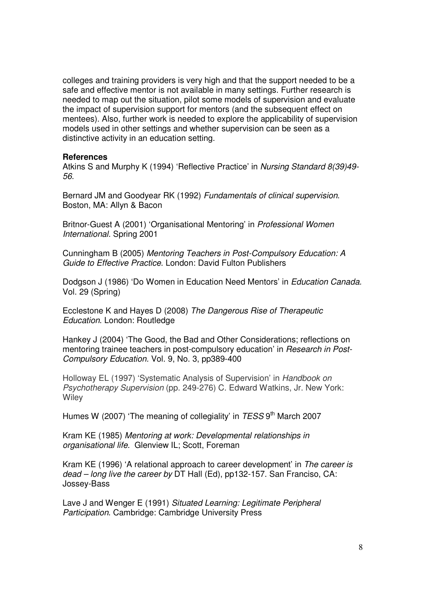colleges and training providers is very high and that the support needed to be a safe and effective mentor is not available in many settings. Further research is needed to map out the situation, pilot some models of supervision and evaluate the impact of supervision support for mentors (and the subsequent effect on mentees). Also, further work is needed to explore the applicability of supervision models used in other settings and whether supervision can be seen as a distinctive activity in an education setting.

#### **References**

Atkins S and Murphy K (1994) 'Reflective Practice' in Nursing Standard 8(39)49- 56.

Bernard JM and Goodyear RK (1992) Fundamentals of clinical supervision. Boston, MA: Allyn & Bacon

Britnor-Guest A (2001) 'Organisational Mentoring' in Professional Women International. Spring 2001

Cunningham B (2005) Mentoring Teachers in Post-Compulsory Education: A Guide to Effective Practice. London: David Fulton Publishers

Dodgson J (1986) 'Do Women in Education Need Mentors' in Education Canada. Vol. 29 (Spring)

Ecclestone K and Hayes D (2008) The Dangerous Rise of Therapeutic Education. London: Routledge

Hankey J (2004) 'The Good, the Bad and Other Considerations; reflections on mentoring trainee teachers in post-compulsory education' in *Research in Post-*Compulsory Education. Vol. 9, No. 3, pp389-400

Holloway EL (1997) 'Systematic Analysis of Supervision' in Handbook on Psychotherapy Supervision (pp. 249-276) C. Edward Watkins, Jr. New York: **Wiley** 

Humes W (2007) 'The meaning of collegiality' in TESS 9<sup>th</sup> March 2007

Kram KE (1985) Mentoring at work: Developmental relationships in organisational life. Glenview IL; Scott, Foreman

Kram KE (1996) 'A relational approach to career development' in The career is dead – long live the career by DT Hall (Ed), pp132-157. San Franciso, CA: Jossey-Bass

Lave J and Wenger E (1991) Situated Learning: Legitimate Peripheral Participation. Cambridge: Cambridge University Press